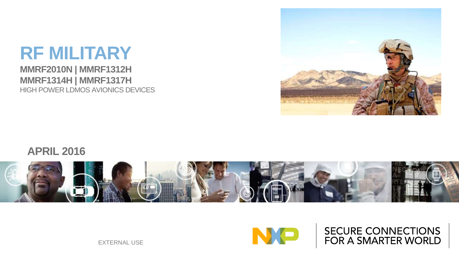#### **RF MILITARY MMRF2010N | MMRF1312H MMRF1314H | MMRF1317H** HIGH POWER LDMOS AVIONICS DEVICES



#### **APRIL 2016**





**SECURE CONNECTIONS** FOR A SMARTER WORLD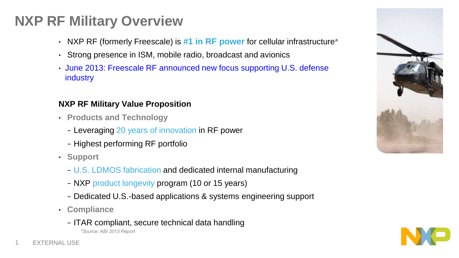## **NXP RF Military Overview**

- NXP RF (formerly Freescale) is **#1 in RF power** for cellular infrastructure**\***
- Strong presence in ISM, mobile radio, broadcast and avionics
- June 2013: Freescale RF announced new focus supporting U.S. defense industry

#### **NXP RF Military Value Proposition**

- **Products and Technology**
	- − Leveraging 20 years of innovation in RF power
	- − Highest performing RF portfolio
- **Support**
	- − U.S. LDMOS fabrication and dedicated internal manufacturing
	- − NXP product longevity program (10 or 15 years)
	- − Dedicated U.S.-based applications & systems engineering support
- **Compliance**
	- − ITAR compliant, secure technical data handling *\*Source: ABI 2013 Report*



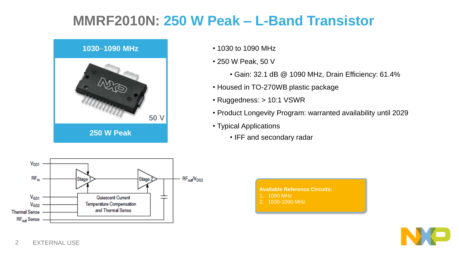## **MMRF2010N: 250 W Peak – L-Band Transistor**



- 1030 to 1090 MHz
- 250 W Peak, 50 V
	- Gain: 32.1 dB @ 1090 MHz, Drain Efficiency: 61.4%
- Housed in TO-270WB plastic package
- Ruggedness: > 10:1 VSWR
- Product Longevity Program: warranted availability until 2029
- Typical Applications
	- IFF and secondary radar



**Available Reference Circuits:** 1. 1090 MHz 2. 1030-1090 MHz

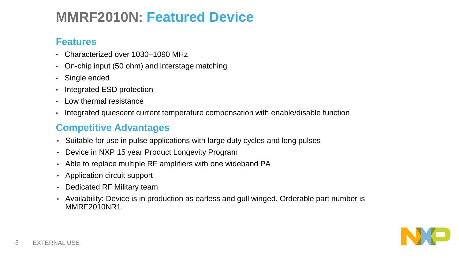## **MMRF2010N: Featured Device**

#### **Features**

- Characterized over 1030–1090 MHz
- On-chip input (50 ohm) and interstage matching
- Single ended
- Integrated ESD protection
- Low thermal resistance
- Integrated quiescent current temperature compensation with enable/disable function

#### **Competitive Advantages**

- Suitable for use in pulse applications with large duty cycles and long pulses
- Device in NXP 15 year Product Longevity Program
- Able to replace multiple RF amplifiers with one wideband PA
- Application circuit support
- Dedicated RF Military team
- Availability: Device is in production as earless and gull winged. Orderable part number is MMRF2010NR1.

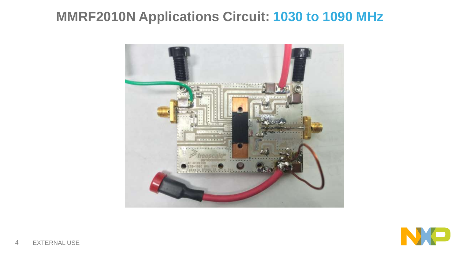## **MMRF2010N Applications Circuit: 1030 to 1090 MHz**



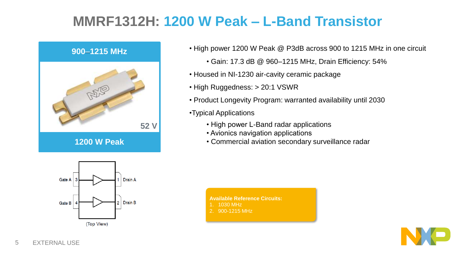## **MMRF1312H: 1200 W Peak – L-Band Transistor**



- High power 1200 W Peak @ P3dB across 900 to 1215 MHz in one circuit
	- Gain: 17.3 dB @ 960–1215 MHz, Drain Efficiency: 54%
- Housed in NI-1230 air-cavity ceramic package
- High Ruggedness: > 20:1 VSWR
- Product Longevity Program: warranted availability until 2030
- •Typical Applications
	- High power L-Band radar applications
	- Avionics navigation applications
	- Commercial aviation secondary surveillance radar



- **Available Reference Circuits:**
- 1030 MHz
- 2. 900-1215 MHz

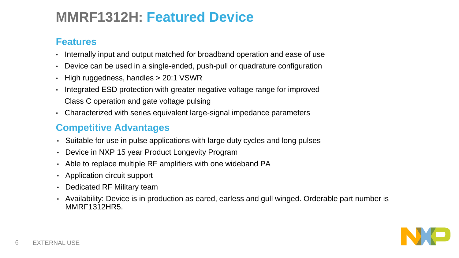## **MMRF1312H: Featured Device**

#### **Features**

- Internally input and output matched for broadband operation and ease of use
- Device can be used in a single-ended, push-pull or quadrature configuration
- High ruggedness, handles > 20:1 VSWR
- Integrated ESD protection with greater negative voltage range for improved Class C operation and gate voltage pulsing
- Characterized with series equivalent large-signal impedance parameters

#### **Competitive Advantages**

- Suitable for use in pulse applications with large duty cycles and long pulses
- Device in NXP 15 year Product Longevity Program
- Able to replace multiple RF amplifiers with one wideband PA
- Application circuit support
- Dedicated RF Military team
- Availability: Device is in production as eared, earless and gull winged. Orderable part number is MMRF1312HR5.

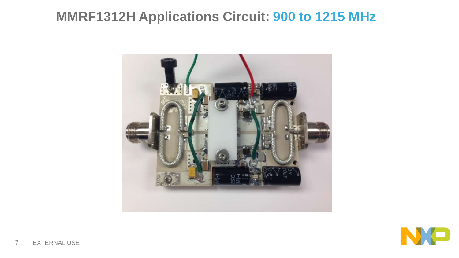## **MMRF1312H Applications Circuit: 900 to 1215 MHz**



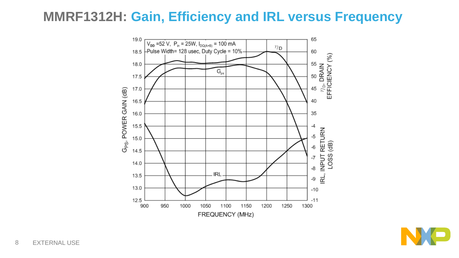#### **MMRF1312H: Gain, Efficiency and IRL versus Frequency**



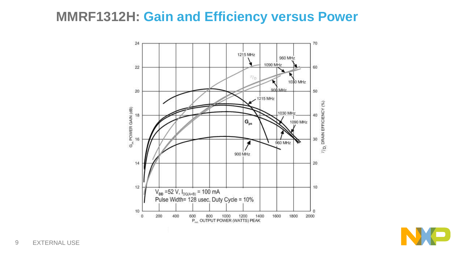#### **MMRF1312H: Gain and Efficiency versus Power**



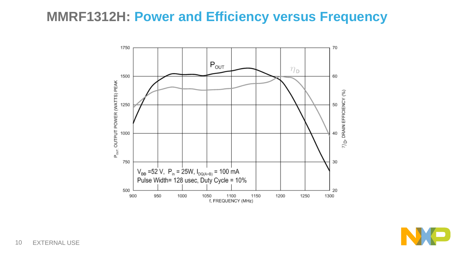#### **MMRF1312H: Power and Efficiency versus Frequency**



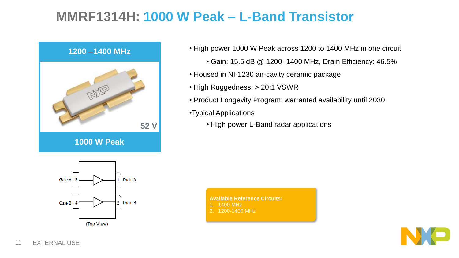## **MMRF1314H: 1000 W Peak – L-Band Transistor**



- High power 1000 W Peak across 1200 to 1400 MHz in one circuit
	- Gain: 15.5 dB @ 1200–1400 MHz, Drain Efficiency: 46.5%
- Housed in NI-1230 air-cavity ceramic package
- High Ruggedness: > 20:1 VSWR
- Product Longevity Program: warranted availability until 2030
- •Typical Applications
	- High power L-Band radar applications



- **Available Reference Circuits:**
- 1400 MHz
- 2. 1200-1400 MHz

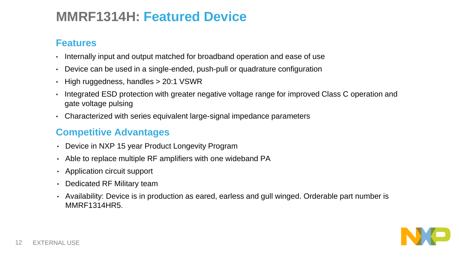#### **MMRF1314H: Featured Device**

#### **Features**

- Internally input and output matched for broadband operation and ease of use
- Device can be used in a single-ended, push-pull or quadrature configuration
- High ruggedness, handles > 20:1 VSWR
- Integrated ESD protection with greater negative voltage range for improved Class C operation and gate voltage pulsing
- Characterized with series equivalent large-signal impedance parameters

#### **Competitive Advantages**

- Device in NXP 15 year Product Longevity Program
- Able to replace multiple RF amplifiers with one wideband PA
- Application circuit support
- Dedicated RF Military team
- Availability: Device is in production as eared, earless and gull winged. Orderable part number is MMRF1314HR5.

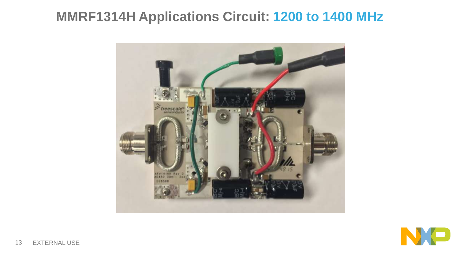## **MMRF1314H Applications Circuit: 1200 to 1400 MHz**



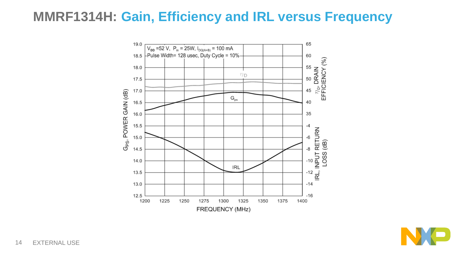#### **MMRF1314H: Gain, Efficiency and IRL versus Frequency**



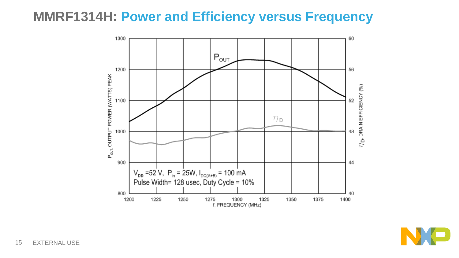#### **MMRF1314H: Power and Efficiency versus Frequency**



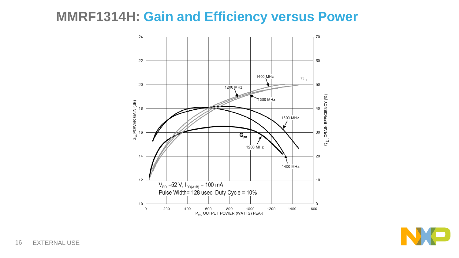#### **MMRF1314H: Gain and Efficiency versus Power**



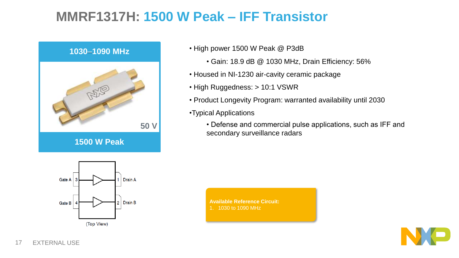## **MMRF1317H: 1500 W Peak – IFF Transistor**



• High power 1500 W Peak @ P3dB

- Gain: 18.9 dB @ 1030 MHz, Drain Efficiency: 56%
- Housed in NI-1230 air-cavity ceramic package
- High Ruggedness: > 10:1 VSWR
- Product Longevity Program: warranted availability until 2030
- •Typical Applications
	- Defense and commercial pulse applications, such as IFF and secondary surveillance radars



**Available Reference Circuit:** 1. 1030 to 1090 MHz

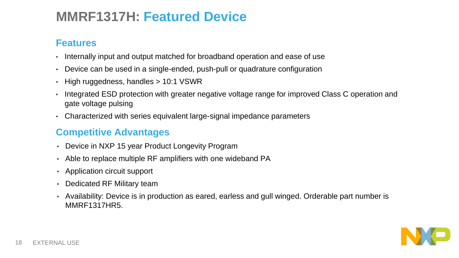## **MMRF1317H: Featured Device**

#### **Features**

- Internally input and output matched for broadband operation and ease of use
- Device can be used in a single-ended, push-pull or quadrature configuration
- High ruggedness, handles > 10:1 VSWR
- Integrated ESD protection with greater negative voltage range for improved Class C operation and gate voltage pulsing
- Characterized with series equivalent large-signal impedance parameters

#### **Competitive Advantages**

- Device in NXP 15 year Product Longevity Program
- Able to replace multiple RF amplifiers with one wideband PA
- Application circuit support
- Dedicated RF Military team
- Availability: Device is in production as eared, earless and gull winged. Orderable part number is MMRF1317HR5.

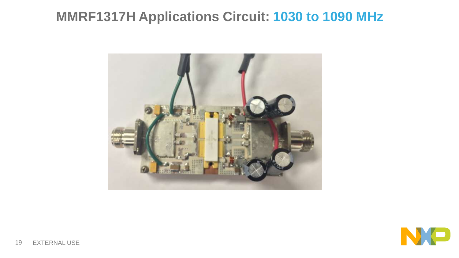## **MMRF1317H Applications Circuit: 1030 to 1090 MHz**



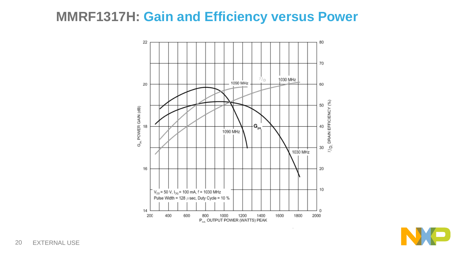#### **MMRF1317H: Gain and Efficiency versus Power**